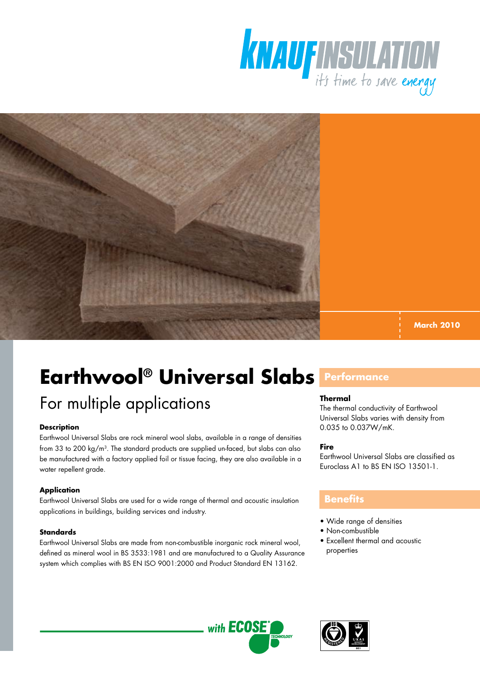



**March 2010**

# **Earthwool® Universal Slabs Performance**

## For multiple applications

### **Description**

Earthwool Universal Slabs are rock mineral wool slabs, available in a range of densities from 33 to 200 kg/m3. The standard products are supplied un-faced, but slabs can also be manufactured with a factory applied foil or tissue facing, they are also available in a water repellent grade.

### **Application**

Earthwool Universal Slabs are used for a wide range of thermal and acoustic insulation applications in buildings, building services and industry.

### **Standards**

Earthwool Universal Slabs are made from non-combustible inorganic rock mineral wool, defined as mineral wool in BS 3533:1981 and are manufactured to a Quality Assurance system which complies with BS EN ISO 9001:2000 and Product Standard EN 13162.

### **Thermal**

The thermal conductivity of Earthwool Universal Slabs varies with density from 0.035 to 0.037W/mK.

### **Fire**

Earthwool Universal Slabs are classified as Euroclass A1 to BS EN ISO 13501-1.

### **Benefits**

- Wide range of densities
- Non-combustible
- Excellent thermal and acoustic properties



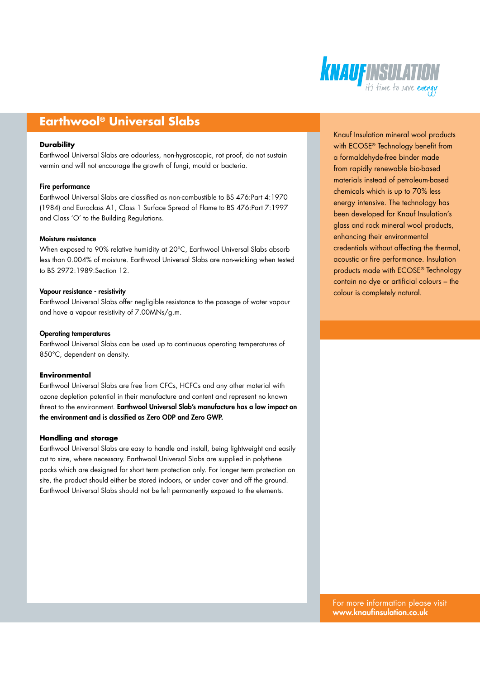

### **Earthwool® Universal Slabs**

### **Durability**

Earthwool Universal Slabs are odourless, non-hygroscopic, rot proof, do not sustain vermin and will not encourage the growth of fungi, mould or bacteria.

### Fire performance

Earthwool Universal Slabs are classified as non-combustible to BS 476:Part 4:1970 (1984) and Euroclass A1, Class 1 Surface Spread of Flame to BS 476:Part 7:1997 and Class 'O' to the Building Regulations.

### Moisture resistance

When exposed to 90% relative humidity at 20°C, Earthwool Universal Slabs absorb less than 0.004% of moisture. Earthwool Universal Slabs are non-wicking when tested to BS 2972:1989:Section 12.

#### Vapour resistance - resistivity

Earthwool Universal Slabs offer negligible resistance to the passage of water vapour and have a vapour resistivity of 7.00MNs/g.m.

### Operating temperatures

Earthwool Universal Slabs can be used up to continuous operating temperatures of 850°C, dependent on density.

#### **Environmental**

Earthwool Universal Slabs are free from CFCs, HCFCs and any other material with ozone depletion potential in their manufacture and content and represent no known threat to the environment. Earthwool Universal Slab's manufacture has a low impact on the environment and is classified as Zero ODP and Zero GWP.

### **Handling and storage**

Earthwool Universal Slabs are easy to handle and install, being lightweight and easily cut to size, where necessary. Earthwool Universal Slabs are supplied in polythene packs which are designed for short term protection only. For longer term protection on site, the product should either be stored indoors, or under cover and off the ground. Earthwool Universal Slabs should not be left permanently exposed to the elements.

Knauf Insulation mineral wool products with ECOSE® Technology benefit from a formaldehyde-free binder made from rapidly renewable bio-based materials instead of petroleum-based chemicals which is up to 70% less energy intensive. The technology has been developed for Knauf Insulation's glass and rock mineral wool products, enhancing their environmental credentials without affecting the thermal, acoustic or fire performance. Insulation products made with ECOSE® Technology contain no dye or artificial colours – the colour is completely natural.

For more information please visit www.knaufinsulation.co.uk